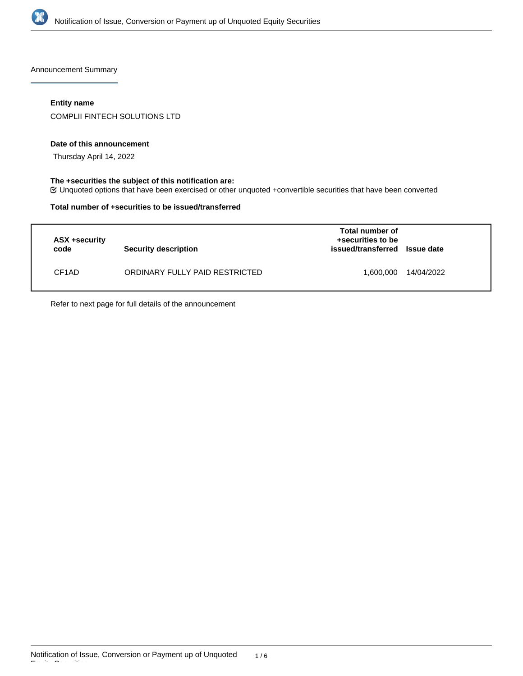

Announcement Summary

### **Entity name**

COMPLII FINTECH SOLUTIONS LTD

#### **Date of this announcement**

Thursday April 14, 2022

### **The +securities the subject of this notification are:**

Unquoted options that have been exercised or other unquoted +convertible securities that have been converted

#### **Total number of +securities to be issued/transferred**

| ASX +security<br>code | Security description           | Total number of<br>+securities to be<br>issued/transferred Issue date |            |
|-----------------------|--------------------------------|-----------------------------------------------------------------------|------------|
| CF <sub>1</sub> AD    | ORDINARY FULLY PAID RESTRICTED | 1,600,000                                                             | 14/04/2022 |

Refer to next page for full details of the announcement

Equity Securities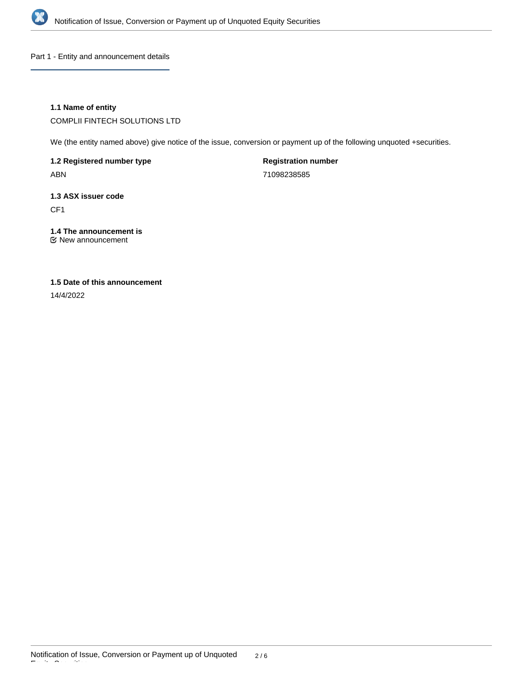

Part 1 - Entity and announcement details

### **1.1 Name of entity**

COMPLII FINTECH SOLUTIONS LTD

We (the entity named above) give notice of the issue, conversion or payment up of the following unquoted +securities.

**1.2 Registered number type** ABN

**Registration number** 71098238585

**1.3 ASX issuer code**

CF1

**1.4 The announcement is**

New announcement

## **1.5 Date of this announcement**

14/4/2022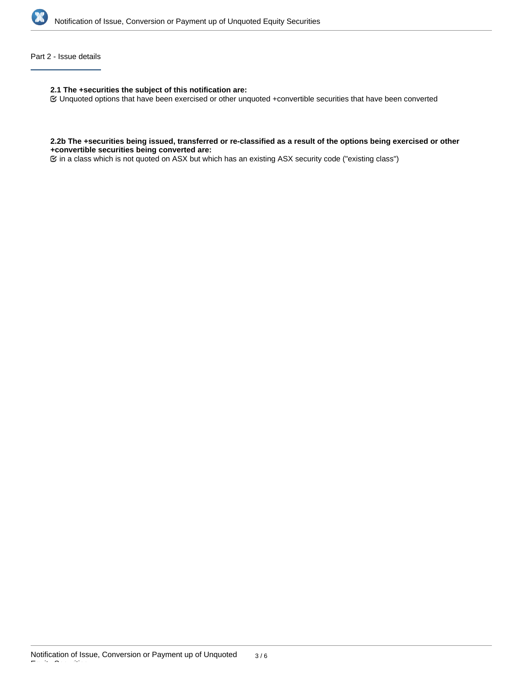

#### Part 2 - Issue details

**2.1 The +securities the subject of this notification are:**

Unquoted options that have been exercised or other unquoted +convertible securities that have been converted

#### **2.2b The +securities being issued, transferred or re-classified as a result of the options being exercised or other +convertible securities being converted are:**

in a class which is not quoted on ASX but which has an existing ASX security code ("existing class")

Equity Securities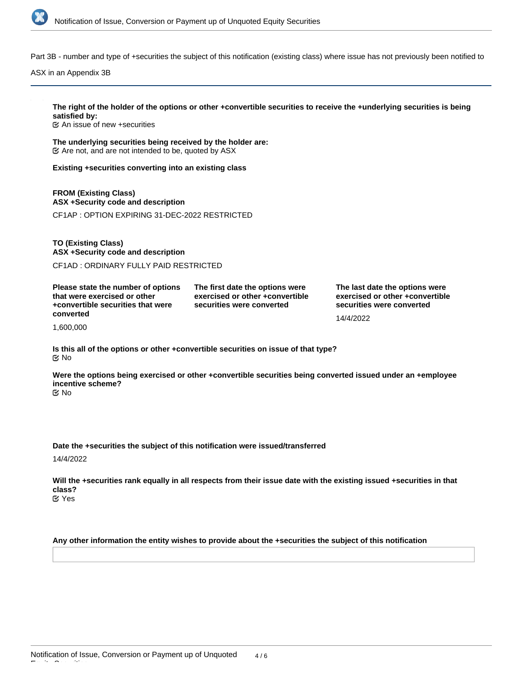

Part 3B - number and type of +securities the subject of this notification (existing class) where issue has not previously been notified to

ASX in an Appendix 3B

# **The right of the holder of the options or other +convertible securities to receive the +underlying securities is being satisfied by:**

An issue of new +securities

**The underlying securities being received by the holder are:**  $\mathfrak{C}$  Are not, and are not intended to be, quoted by ASX

**Existing +securities converting into an existing class**

**FROM (Existing Class) ASX +Security code and description** CF1AP : OPTION EXPIRING 31-DEC-2022 RESTRICTED

**TO (Existing Class) ASX +Security code and description**

CF1AD : ORDINARY FULLY PAID RESTRICTED

**Please state the number of options that were exercised or other +convertible securities that were converted**

**The first date the options were exercised or other +convertible securities were converted**

**The last date the options were exercised or other +convertible securities were converted**

14/4/2022

1,600,000

**Is this all of the options or other +convertible securities on issue of that type?** No

**Were the options being exercised or other +convertible securities being converted issued under an +employee incentive scheme?** No

**Date the +securities the subject of this notification were issued/transferred**

14/4/2022

Equity Securities

**Will the +securities rank equally in all respects from their issue date with the existing issued +securities in that class?** Yes

**Any other information the entity wishes to provide about the +securities the subject of this notification**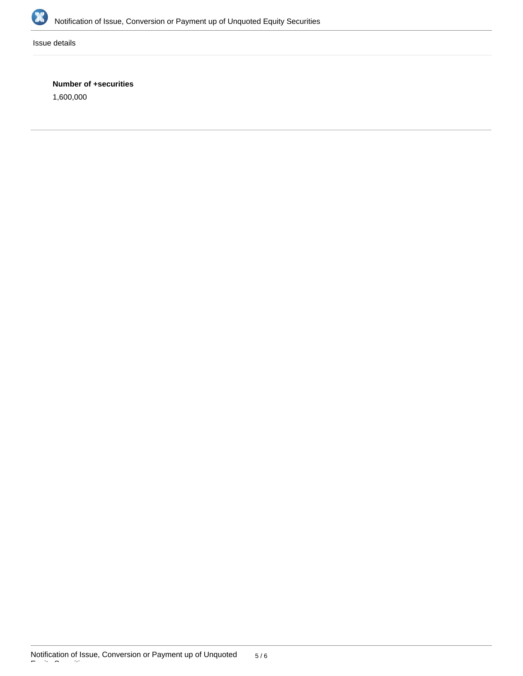

Issue details

## **Number of +securities**

1,600,000